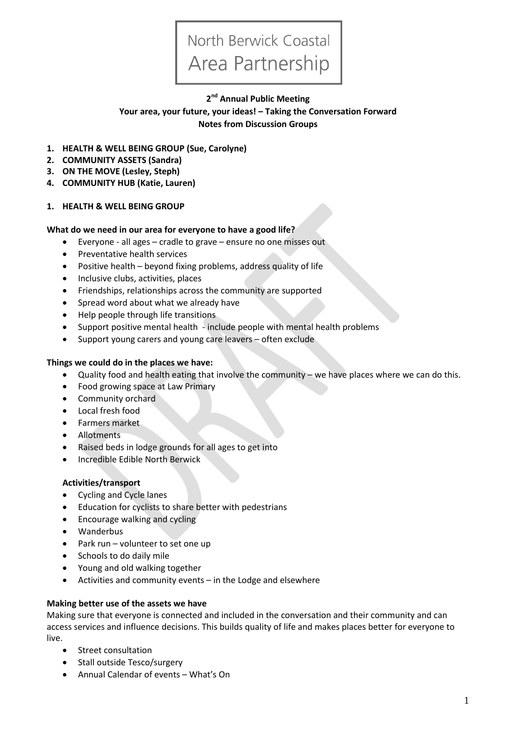# North Berwick Coastal Area Partnership

# **2 nd Annual Public Meeting**

**Your area, your future, your ideas! – Taking the Conversation Forward Notes from Discussion Groups**

- **1. HEALTH & WELL BEING GROUP (Sue, Carolyne)**
- **2. COMMUNITY ASSETS (Sandra)**
- **3. ON THE MOVE (Lesley, Steph)**
- **4. COMMUNITY HUB (Katie, Lauren)**

#### **1. HEALTH & WELL BEING GROUP**

#### **What do we need in our area for everyone to have a good life?**

- Everyone all ages cradle to grave ensure no one misses out
- Preventative health services
- Positive health beyond fixing problems, address quality of life
- Inclusive clubs, activities, places
- Friendships, relationships across the community are supported
- Spread word about what we already have
- Help people through life transitions
- Support positive mental health include people with mental health problems
- Support young carers and young care leavers often exclude

## **Things we could do in the places we have:**

- Quality food and health eating that involve the community we have places where we can do this.
- Food growing space at Law Primary
- Community orchard
- Local fresh food
- Farmers market
- Allotments
- Raised beds in lodge grounds for all ages to get into
- Incredible Edible North Berwick

# **Activities/transport**

- Cycling and Cycle lanes
- Education for cyclists to share better with pedestrians
- Encourage walking and cycling
- Wanderbus
- Park run volunteer to set one up
- Schools to do daily mile
- Young and old walking together
- Activities and community events in the Lodge and elsewhere

#### **Making better use of the assets we have**

Making sure that everyone is connected and included in the conversation and their community and can access services and influence decisions. This builds quality of life and makes places better for everyone to live.

- Street consultation
- Stall outside Tesco/surgery
- Annual Calendar of events What's On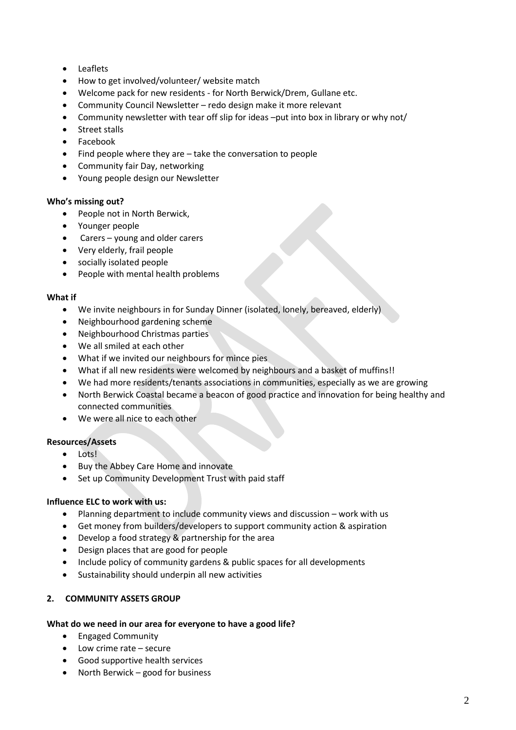- Leaflets
- How to get involved/volunteer/ website match
- Welcome pack for new residents for North Berwick/Drem, Gullane etc.
- Community Council Newsletter redo design make it more relevant
- Community newsletter with tear off slip for ideas –put into box in library or why not/
- Street stalls
- Facebook
- Find people where they are take the conversation to people
- Community fair Day, networking
- Young people design our Newsletter

#### **Who's missing out?**

- People not in North Berwick,
- Younger people
- Carers young and older carers
- Very elderly, frail people
- socially isolated people
- People with mental health problems

#### **What if**

- We invite neighbours in for Sunday Dinner (isolated, lonely, bereaved, elderly)
- Neighbourhood gardening scheme
- Neighbourhood Christmas parties
- We all smiled at each other
- What if we invited our neighbours for mince pies
- What if all new residents were welcomed by neighbours and a basket of muffins!!
- We had more residents/tenants associations in communities, especially as we are growing
- North Berwick Coastal became a beacon of good practice and innovation for being healthy and connected communities
- We were all nice to each other

#### **Resources/Assets**

- Lots!
- Buy the Abbey Care Home and innovate
- Set up Community Development Trust with paid staff

#### **Influence ELC to work with us:**

- Planning department to include community views and discussion work with us
- Get money from builders/developers to support community action & aspiration
- Develop a food strategy & partnership for the area
- Design places that are good for people
- Include policy of community gardens & public spaces for all developments
- Sustainability should underpin all new activities

# **2. COMMUNITY ASSETS GROUP**

#### **What do we need in our area for everyone to have a good life?**

- Engaged Community
- Low crime rate secure
- Good supportive health services
- North Berwick good for business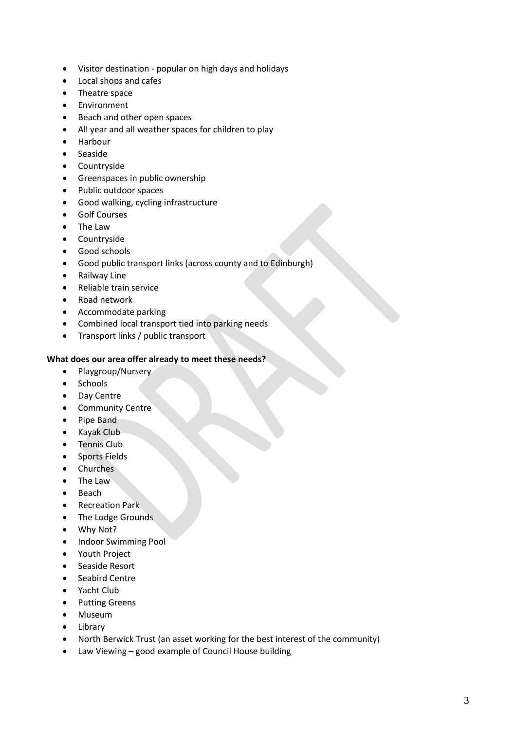- Visitor destination popular on high days and holidays
- Local shops and cafes
- Theatre space
- Environment
- Beach and other open spaces
- All year and all weather spaces for children to play
- Harbour
- Seaside
- Countryside
- **•** Greenspaces in public ownership
- Public outdoor spaces
- Good walking, cycling infrastructure
- **•** Golf Courses
- The Law
- Countryside
- **•** Good schools
- Good public transport links (across county and to Edinburgh)
- Railway Line
- Reliable train service
- Road network
- Accommodate parking
- Combined local transport tied into parking needs
- Transport links / public transport

#### **What does our area offer already to meet these needs?**

- Playgroup/Nursery
- Schools
- Day Centre
- Community Centre
- Pipe Band
- Kayak Club
- **•** Tennis Club
- **•** Sports Fields
- Churches
- The Law
- Beach
- **•** Recreation Park
- The Lodge Grounds
- Why Not?
- Indoor Swimming Pool
- Youth Project
- Seaside Resort
- Seabird Centre
- Yacht Club
- Putting Greens
- Museum
- Library
- North Berwick Trust (an asset working for the best interest of the community)
- Law Viewing good example of Council House building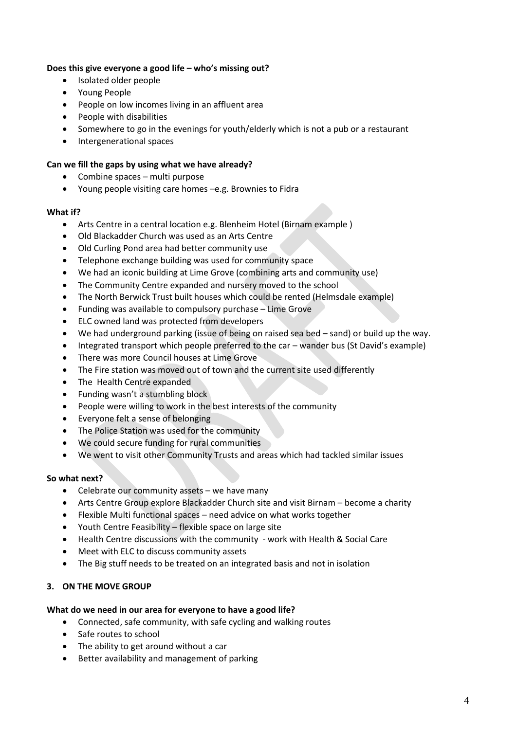## **Does this give everyone a good life – who's missing out?**

- Isolated older people
- Young People
- People on low incomes living in an affluent area
- People with disabilities
- Somewhere to go in the evenings for youth/elderly which is not a pub or a restaurant
- Intergenerational spaces

# **Can we fill the gaps by using what we have already?**

- Combine spaces multi purpose
- Young people visiting care homes –e.g. Brownies to Fidra

# **What if?**

- Arts Centre in a central location e.g. Blenheim Hotel (Birnam example )
- Old Blackadder Church was used as an Arts Centre
- Old Curling Pond area had better community use
- Telephone exchange building was used for community space
- We had an iconic building at Lime Grove (combining arts and community use)
- The Community Centre expanded and nursery moved to the school
- The North Berwick Trust built houses which could be rented (Helmsdale example)
- Funding was available to compulsory purchase Lime Grove
- ELC owned land was protected from developers
- We had underground parking (issue of being on raised sea bed sand) or build up the way.
- Integrated transport which people preferred to the car wander bus (St David's example)
- There was more Council houses at Lime Grove
- The Fire station was moved out of town and the current site used differently
- The Health Centre expanded
- Funding wasn't a stumbling block
- People were willing to work in the best interests of the community
- Everyone felt a sense of belonging
- The Police Station was used for the community
- We could secure funding for rural communities
- We went to visit other Community Trusts and areas which had tackled similar issues

# **So what next?**

- Celebrate our community assets we have many
- Arts Centre Group explore Blackadder Church site and visit Birnam become a charity
- Flexible Multi functional spaces need advice on what works together
- Youth Centre Feasibility flexible space on large site
- Health Centre discussions with the community work with Health & Social Care
- Meet with ELC to discuss community assets
- The Big stuff needs to be treated on an integrated basis and not in isolation

# **3. ON THE MOVE GROUP**

# **What do we need in our area for everyone to have a good life?**

- Connected, safe community, with safe cycling and walking routes
- Safe routes to school
- The ability to get around without a car
- Better availability and management of parking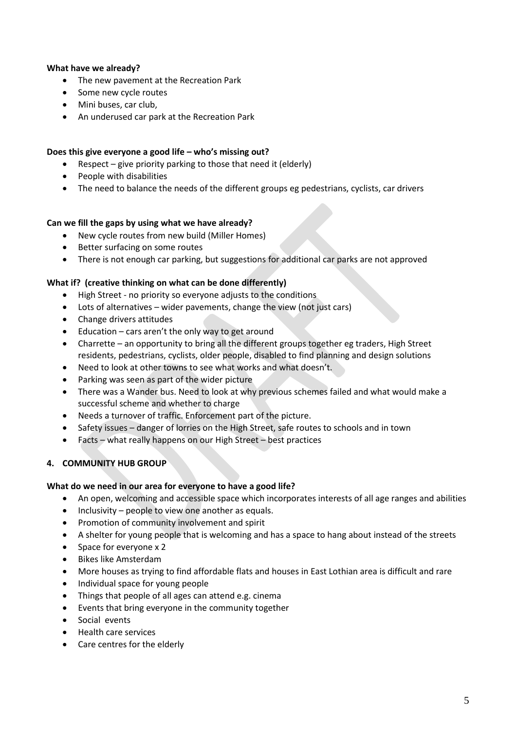## **What have we already?**

- The new pavement at the Recreation Park
- Some new cycle routes
- Mini buses, car club,
- An underused car park at the Recreation Park

#### **Does this give everyone a good life – who's missing out?**

- Respect give priority parking to those that need it (elderly)
- People with disabilities
- The need to balance the needs of the different groups eg pedestrians, cyclists, car drivers

## **Can we fill the gaps by using what we have already?**

- New cycle routes from new build (Miller Homes)
- Better surfacing on some routes
- There is not enough car parking, but suggestions for additional car parks are not approved

## **What if? (creative thinking on what can be done differently)**

- High Street no priority so everyone adjusts to the conditions
- Lots of alternatives wider pavements, change the view (not just cars)
- Change drivers attitudes
- Education cars aren't the only way to get around
- Charrette an opportunity to bring all the different groups together eg traders, High Street residents, pedestrians, cyclists, older people, disabled to find planning and design solutions
- Need to look at other towns to see what works and what doesn't.
- Parking was seen as part of the wider picture
- There was a Wander bus. Need to look at why previous schemes failed and what would make a successful scheme and whether to charge
- Needs a turnover of traffic. Enforcement part of the picture.
- Safety issues danger of lorries on the High Street, safe routes to schools and in town
- Facts what really happens on our High Street best practices

# **4. COMMUNITY HUB GROUP**

#### **What do we need in our area for everyone to have a good life?**

- An open, welcoming and accessible space which incorporates interests of all age ranges and abilities
- $\bullet$  Inclusivity people to view one another as equals.
- Promotion of community involvement and spirit
- A shelter for young people that is welcoming and has a space to hang about instead of the streets
- Space for everyone x 2
- Bikes like Amsterdam
- More houses as trying to find affordable flats and houses in East Lothian area is difficult and rare
- Individual space for young people
- Things that people of all ages can attend e.g. cinema
- Events that bring everyone in the community together
- Social events
- Health care services
- Care centres for the elderly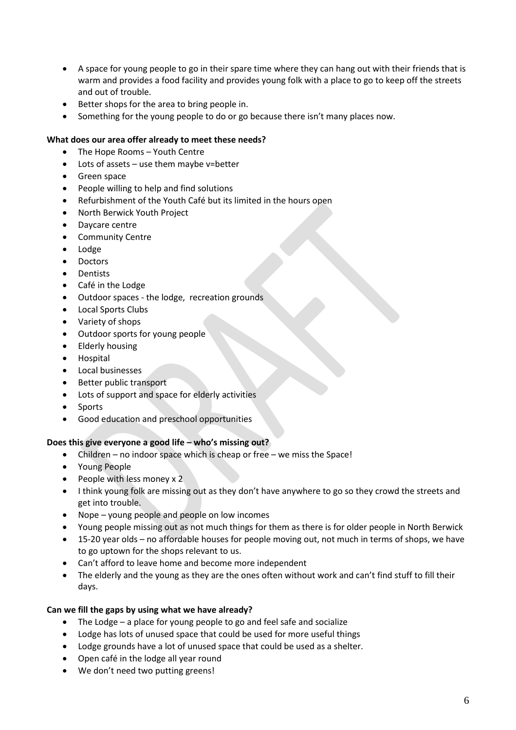- A space for young people to go in their spare time where they can hang out with their friends that is warm and provides a food facility and provides young folk with a place to go to keep off the streets and out of trouble.
- Better shops for the area to bring people in.
- Something for the young people to do or go because there isn't many places now.

# **What does our area offer already to meet these needs?**

- The Hope Rooms Youth Centre
- Lots of assets use them maybe v=better
- Green space
- People willing to help and find solutions
- Refurbishment of the Youth Café but its limited in the hours open
- North Berwick Youth Project
- Daycare centre
- Community Centre
- Lodge
- Doctors
- **Dentists**
- Café in the Lodge
- Outdoor spaces the lodge, recreation grounds
- Local Sports Clubs
- Variety of shops
- Outdoor sports for young people
- Elderly housing
- Hospital
- Local businesses
- Better public transport
- Lots of support and space for elderly activities
- Sports
- Good education and preschool opportunities

# **Does this give everyone a good life – who's missing out?**

- Children no indoor space which is cheap or free we miss the Space!
- Young People
- People with less money x 2
- I think young folk are missing out as they don't have anywhere to go so they crowd the streets and get into trouble.
- Nope young people and people on low incomes
- Young people missing out as not much things for them as there is for older people in North Berwick
- 15-20 year olds no affordable houses for people moving out, not much in terms of shops, we have to go uptown for the shops relevant to us.
- Can't afford to leave home and become more independent
- The elderly and the young as they are the ones often without work and can't find stuff to fill their days.

# **Can we fill the gaps by using what we have already?**

- The Lodge a place for young people to go and feel safe and socialize
- Lodge has lots of unused space that could be used for more useful things
- Lodge grounds have a lot of unused space that could be used as a shelter.
- Open café in the lodge all year round
- We don't need two putting greens!